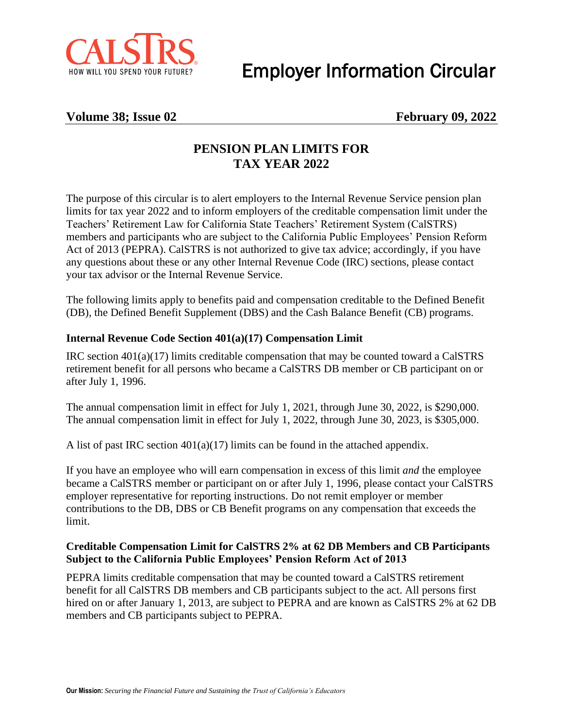

Employer Information Circular

### **Volume 38; Issue 02 February 09, 2022**

## **PENSION PLAN LIMITS FOR TAX YEAR 2022**

The purpose of this circular is to alert employers to the Internal Revenue Service pension plan limits for tax year 2022 and to inform employers of the creditable compensation limit under the Teachers' Retirement Law for California State Teachers' Retirement System (CalSTRS) members and participants who are subject to the California Public Employees' Pension Reform Act of 2013 (PEPRA). CalSTRS is not authorized to give tax advice; accordingly, if you have any questions about these or any other Internal Revenue Code (IRC) sections, please contact your tax advisor or the Internal Revenue Service.

The following limits apply to benefits paid and compensation creditable to the Defined Benefit (DB), the Defined Benefit Supplement (DBS) and the Cash Balance Benefit (CB) programs.

#### **Internal Revenue Code Section 401(a)(17) Compensation Limit**

IRC section 401(a)(17) limits creditable compensation that may be counted toward a CalSTRS retirement benefit for all persons who became a CalSTRS DB member or CB participant on or after July 1, 1996.

The annual compensation limit in effect for July 1, 2021, through June 30, 2022, is \$290,000. The annual compensation limit in effect for July 1, 2022, through June 30, 2023, is \$305,000.

A list of past IRC section  $401(a)(17)$  limits can be found in the attached appendix.

If you have an employee who will earn compensation in excess of this limit *and* the employee became a CalSTRS member or participant on or after July 1, 1996, please contact your CalSTRS employer representative for reporting instructions. Do not remit employer or member contributions to the DB, DBS or CB Benefit programs on any compensation that exceeds the limit.

#### **Creditable Compensation Limit for CalSTRS 2% at 62 DB Members and CB Participants Subject to the California Public Employees' Pension Reform Act of 2013**

PEPRA limits creditable compensation that may be counted toward a CalSTRS retirement benefit for all CalSTRS DB members and CB participants subject to the act. All persons first hired on or after January 1, 2013, are subject to PEPRA and are known as CalSTRS 2% at 62 DB members and CB participants subject to PEPRA.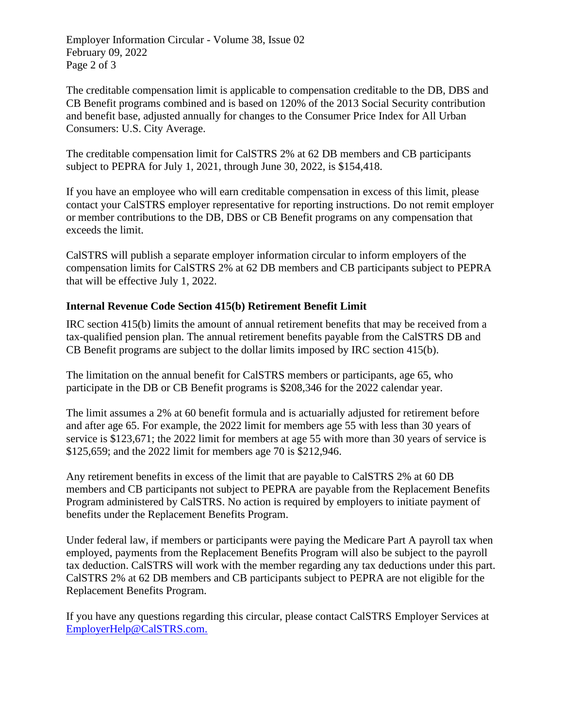Employer Information Circular - Volume 38, Issue 02 February 09, 2022 Page 2 of 3

The creditable compensation limit is applicable to compensation creditable to the DB, DBS and CB Benefit programs combined and is based on 120% of the 2013 Social Security contribution and benefit base, adjusted annually for changes to the Consumer Price Index for All Urban Consumers: U.S. City Average.

The creditable compensation limit for CalSTRS 2% at 62 DB members and CB participants subject to PEPRA for July 1, 2021, through June 30, 2022, is \$154,418.

If you have an employee who will earn creditable compensation in excess of this limit, please contact your CalSTRS employer representative for reporting instructions. Do not remit employer or member contributions to the DB, DBS or CB Benefit programs on any compensation that exceeds the limit.

CalSTRS will publish a separate employer information circular to inform employers of the compensation limits for CalSTRS 2% at 62 DB members and CB participants subject to PEPRA that will be effective July 1, 2022.

#### **Internal Revenue Code Section 415(b) Retirement Benefit Limit**

IRC section 415(b) limits the amount of annual retirement benefits that may be received from a tax-qualified pension plan. The annual retirement benefits payable from the CalSTRS DB and CB Benefit programs are subject to the dollar limits imposed by IRC section 415(b).

The limitation on the annual benefit for CalSTRS members or participants, age 65, who participate in the DB or CB Benefit programs is \$208,346 for the 2022 calendar year.

The limit assumes a 2% at 60 benefit formula and is actuarially adjusted for retirement before and after age 65. For example, the 2022 limit for members age 55 with less than 30 years of service is \$123,671; the 2022 limit for members at age 55 with more than 30 years of service is \$125,659; and the 2022 limit for members age 70 is \$212,946.

Any retirement benefits in excess of the limit that are payable to CalSTRS 2% at 60 DB members and CB participants not subject to PEPRA are payable from the Replacement Benefits Program administered by CalSTRS. No action is required by employers to initiate payment of benefits under the Replacement Benefits Program.

Under federal law, if members or participants were paying the Medicare Part A payroll tax when employed, payments from the Replacement Benefits Program will also be subject to the payroll tax deduction. CalSTRS will work with the member regarding any tax deductions under this part. CalSTRS 2% at 62 DB members and CB participants subject to PEPRA are not eligible for the Replacement Benefits Program.

If you have any questions regarding this circular, please contact CalSTRS Employer Services at [EmployerHelp@CalSTRS.com.](mailto:EmployerHelp@CalSTRS.com)